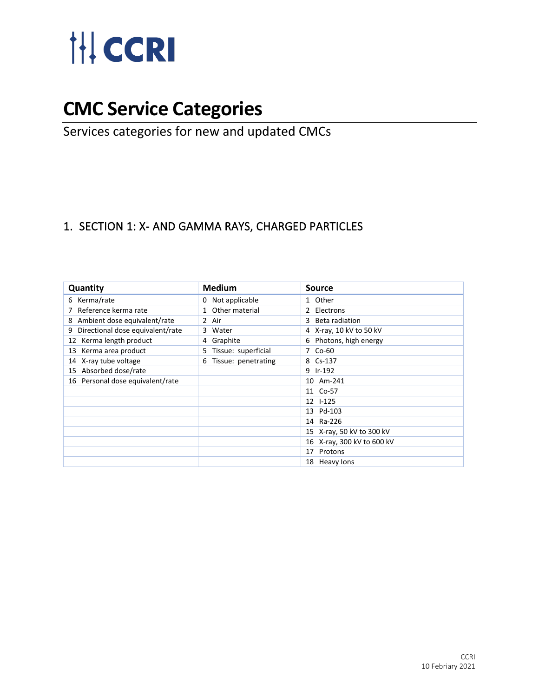

# **CMC Service Categories**

## Services categories for new and updated CMCs

#### 1. SECTION 1: X- AND GAMMA RAYS, CHARGED PARTICLES

| Quantity                              | <b>Medium</b>             | Source                     |
|---------------------------------------|---------------------------|----------------------------|
| Kerma/rate<br>6                       | Not applicable<br>0       | 1 Other                    |
| Reference kerma rate                  | 1 Other material          | Electrons                  |
| Ambient dose equivalent/rate<br>8     | 2 Air                     | Beta radiation<br>3        |
| Directional dose equivalent/rate<br>9 | 3 Water                   | 4 X-ray, 10 kV to 50 kV    |
| 12 Kerma length product               | 4 Graphite                | 6 Photons, high energy     |
| 13 Kerma area product                 | Tissue: superficial<br>5. | 7 Co-60                    |
| 14 X-ray tube voltage                 | Tissue: penetrating<br>6  | 8 Cs-137                   |
| 15 Absorbed dose/rate                 |                           | 9 Ir-192                   |
| 16 Personal dose equivalent/rate      |                           | 10 Am-241                  |
|                                       |                           | 11 Co-57                   |
|                                       |                           | 12 1-125                   |
|                                       |                           | 13 Pd-103                  |
|                                       |                           | 14 Ra-226                  |
|                                       |                           | 15 X-ray, 50 kV to 300 kV  |
|                                       |                           | 16 X-ray, 300 kV to 600 kV |
|                                       |                           | 17 Protons                 |
|                                       |                           | 18 Heavy lons              |